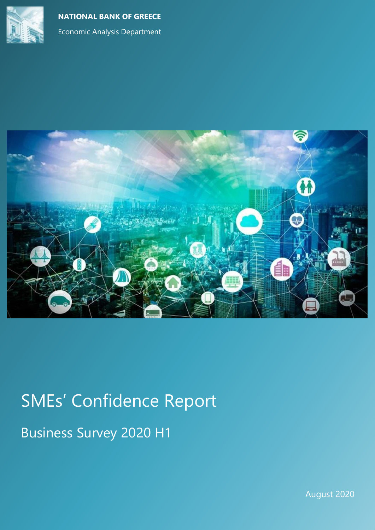





# SMEs' Confidence Report Business Survey 2020 H1

August 2020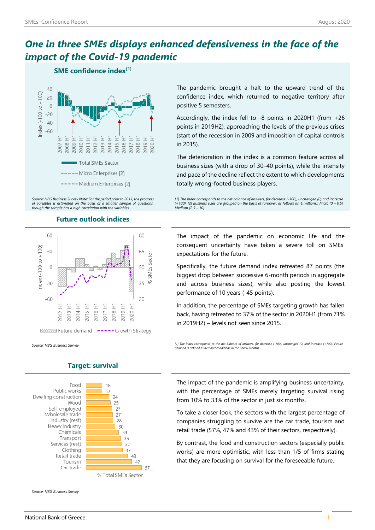# *One in three SMEs displays enhanced defensiveness in the face of the impact of the Covid-19 pandemic*

### **SME confidence index[1]**



*Source: NBG Business Survey Note: For the period prior to 2011, the progress of variables is estimated on the basis of a smaller sample of questions, though the sample has a high correlation with the variables.*

### **Future outlook indices**



Food 16 Public works 17 Dwelling construction 24 Wood 25 Self-employed 27 Wholesale trade 27 Industry (rest) 28 Heavy Industry 30 Chemicals 34 Transport 36 Services (rest) 37 Clothing 37 Retail trade 43 Tourism 47 Car trade 57 % Total SMEs Sector

# **Target: survival**

*Source: NBG Business Survey*

The pandemic brought a halt to the upward trend of the confidence index, which returned to negative territory after positive 5 semesters.

Accordingly, the index fell to -8 points in 2020H1 (from +26 points in 2019H2), approaching the levels of the previous crises (start of the recession in 2009 and imposition of capital controls in 2015).

The deterioration in the index is a common feature across all business sizes (with a drop of 30–40 points), while the intensity and pace of the decline reflect the extent to which developments totally wrong-footed business players.

[1] The index corresponds to the net balance of answers, for decrease (-100), unchanged (0) and increa *(+100). [2] Business sizes are grouped on the basis of turnover, as follows (in € millions): Micro (0 – 0.5] Medium (2.5 – 10]*

The impact of the pandemic on economic life and the consequent uncertainty have taken a severe toll on SMEs' expectations for the future.

Specifically, the future demand index retreated 87 points (the biggest drop between successive 6-month periods in aggregate and across business sizes), while also posting the lowest performance of 10 years (-45 points).

In addition, the percentage of SMEs targeting growth has fallen back, having retreated to 37% of the sector in 2020H1 (from 71% in 2019H2) – levels not seen since 2015.

*Source: NBG Business Survey [1] The index corresponds to the net balance of answers, for decrease (-100), unchanged (0) and increase (+100). Future demand is defined as demand conditions in the next 6 months.*

> The impact of the pandemic is amplifying business uncertainty, with the percentage of SMEs merely targeting survival rising from 10% to 33% of the sector in just six months.

> To take a closer look, the sectors with the largest percentage of companies struggling to survive are the car trade, tourism and retail trade (57%, 47% and 43% of their sectors, respectively).

> By contrast, the food and construction sectors (especially public works) are more optimistic, with less than 1/5 of firms stating that they are focusing on survival for the foreseeable future.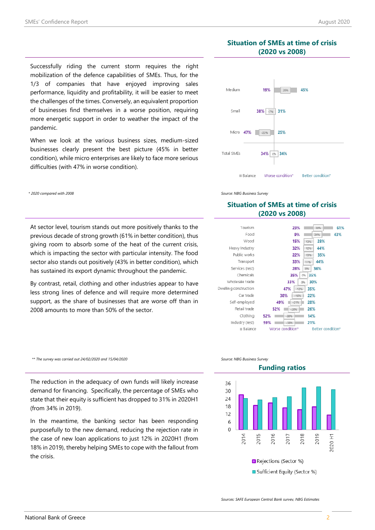## **Situation of SMEs at time of crisis (2020 vs 2008)**

 $10%$ 

 $-22\%$ 

38% -7% 31%

25%

34% 0% 34%

Worse condition<sup>®</sup>

Better condition<sup>®</sup>

26% 45%



When we look at the various business sizes, medium-sized businesses clearly present the best picture (45% in better condition), while micro enterprises are likely to face more serious difficulties (with 47% in worse condition).

At sector level, tourism stands out more positively thanks to the previous decade of strong growth (61% in better condition), thus giving room to absorb some of the heat of the current crisis, which is impacting the sector with particular intensity. The food sector also stands out positively (43% in better condition), which has sustained its export dynamic throughout the pandemic.

By contrast, retail, clothing and other industries appear to have less strong lines of defence and will require more determined support, as the share of businesses that are worse off than in 2008 amounts to more than 50% of the sector.

*\*\* The survey was carried out 24/02/2020 and 15/04/2020 Source: NBG Business Survey*

The reduction in the adequacy of own funds will likely increase demand for financing. Specifically, the percentage of SMEs who state that their equity is sufficient has dropped to 31% in 2020H1 (from 34% in 2019).

In the meantime, the banking sector has been responding purposefully to the new demand, reducing the rejection rate in the case of new loan applications to just 12% in 2020H1 (from 18% in 2019), thereby helping SMEs to cope with the fallout from the crisis.



 $B$ alance

Total SMEs

# **Situation of SMEs at time of crisis (2020 vs 2008)**





*Sources: SAFE European Central Bank survey, NBG Estimates*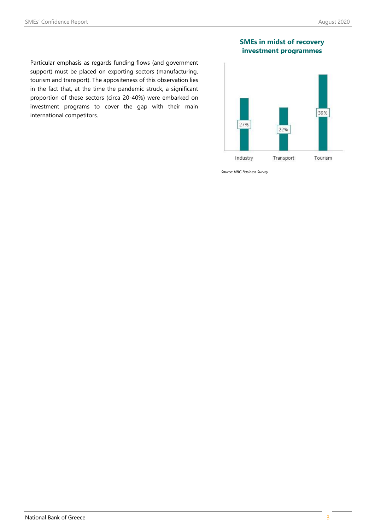Particular emphasis as regards funding flows (and government support) must be placed on exporting sectors (manufacturing, tourism and transport). The appositeness of this observation lies in the fact that, at the time the pandemic struck, a significant proportion of these sectors (circa 20-40%) were embarked on investment programs to cover the gap with their main international competitors.

### **SMEs in midst of recovery investment programmes**



*Source: NBG Business Survey*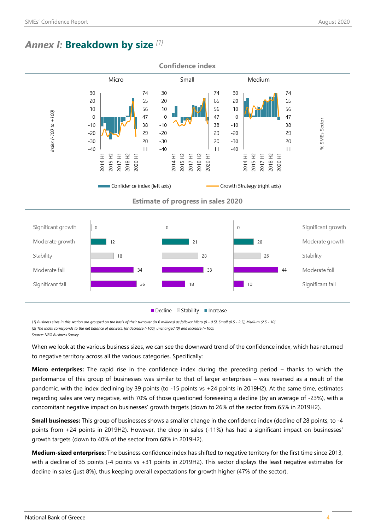# *Annex I:* **Breakdown by size** *[1]*



*[1] Business sizes in this section are grouped on the basis of their turnover (in € millions) as follows: Micro (0 - 0.5], Small (0,5 - 2.5], Medium (2.5 - 10] [2] The index corresponds to the net balance of answers, for decrease (-100), unchanged (0) and increase (+100).*

*Source: NBG Business Survey*

When we look at the various business sizes, we can see the downward trend of the confidence index, which has returned to negative territory across all the various categories. Specifically:

**Micro enterprises:** The rapid rise in the confidence index during the preceding period – thanks to which the performance of this group of businesses was similar to that of larger enterprises – was reversed as a result of the pandemic, with the index declining by 39 points (to -15 points vs +24 points in 2019H2). At the same time, estimates regarding sales are very negative, with 70% of those questioned foreseeing a decline (by an average of -23%), with a concomitant negative impact on businesses' growth targets (down to 26% of the sector from 65% in 2019H2).

**Small businesses:** This group of businesses shows a smaller change in the confidence index (decline of 28 points, to -4 points from +24 points in 2019H2). However, the drop in sales (-11%) has had a significant impact on businesses' growth targets (down to 40% of the sector from 68% in 2019H2).

**Medium-sized enterprises:** The business confidence index has shifted to negative territory for the first time since 2013, with a decline of 35 points (-4 points vs +31 points in 2019H2). This sector displays the least negative estimates for decline in sales (just 8%), thus keeping overall expectations for growth higher (47% of the sector).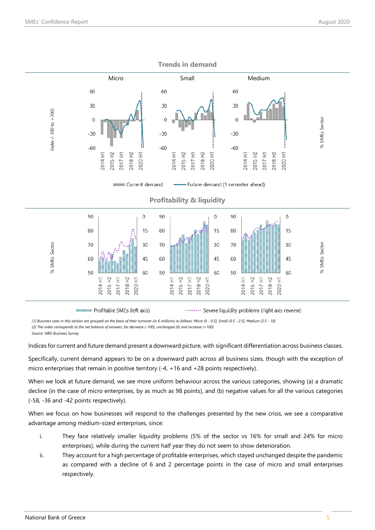

**MODES IN PROFITABLE SMES (left axis)** 

......... Severe liquidity problems (right axis reverse)

*[1] Business sizes in this section are grouped on the basis of their turnover (in € millions) as follows: Micro (0 - 0.5], Small (0,5 - 2.5], Medium (2.5 - 10]*

*[2] The index corresponds to the net balance of answers, for decrease (-100), unchanged (0) and increase (+100).*

*Source: NBG Business Survey*

Indices for current and future demand present a downward picture, with significant differentiation across business classes.

Specifically, current demand appears to be on a downward path across all business sizes, though with the exception of micro enterprises that remain in positive territory (-4, +16 and +28 points respectively).

When we look at future demand, we see more uniform behaviour across the various categories, showing (a) a dramatic decline (in the case of micro enterprises, by as much as 98 points), and (b) negative values for all the various categories (-58, -36 and -42 points respectively).

When we focus on how businesses will respond to the challenges presented by the new crisis, we see a comparative advantage among medium-sized enterprises, since:

- i. They face relatively smaller liquidity problems (5% of the sector vs 16% for small and 24% for micro enterprises), while during the current half year they do not seem to show deterioration.
- ii. They account for a high percentage of profitable enterprises, which stayed unchanged despite the pandemic as compared with a decline of 6 and 2 percentage points in the case of micro and small enterprises respectively.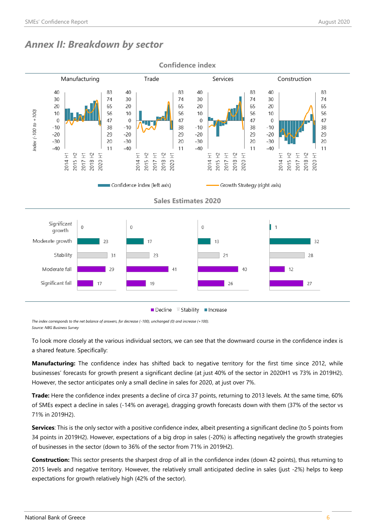# *Annex II: Breakdown by sector*



*The index corresponds to the net balance of answers, for decrease (-100), unchanged (0) and increase (+100). Source: NBG Business Survey*

To look more closely at the various individual sectors, we can see that the downward course in the confidence index is a shared feature. Specifically:

**Manufacturing:** The confidence index has shifted back to negative territory for the first time since 2012, while businesses' forecasts for growth present a significant decline (at just 40% of the sector in 2020H1 vs 73% in 2019H2). However, the sector anticipates only a small decline in sales for 2020, at just over 7%.

**Trade:** Here the confidence index presents a decline of circa 37 points, returning to 2013 levels. At the same time, 60% of SMEs expect a decline in sales (-14% on average), dragging growth forecasts down with them (37% of the sector vs 71% in 2019H2).

**Services**: This is the only sector with a positive confidence index, albeit presenting a significant decline (to 5 points from 34 points in 2019H2). However, expectations of a big drop in sales (-20%) is affecting negatively the growth strategies of businesses in the sector (down to 36% of the sector from 71% in 2019H2).

**Construction:** This sector presents the sharpest drop of all in the confidence index (down 42 points), thus returning to 2015 levels and negative territory. However, the relatively small anticipated decline in sales (just -2%) helps to keep expectations for growth relatively high (42% of the sector).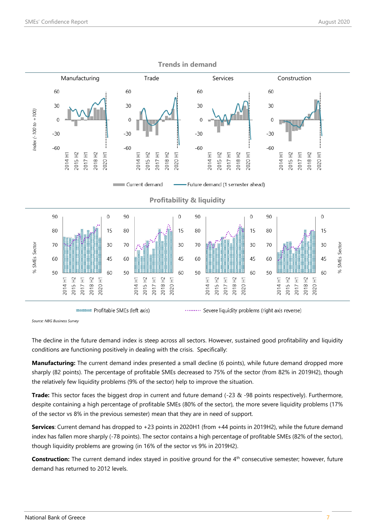

*Source: NBG Business Survey*

The decline in the future demand index is steep across all sectors. However, sustained good profitability and liquidity conditions are functioning positively in dealing with the crisis. Specifically:

**Manufacturing:** The current demand index presented a small decline (6 points), while future demand dropped more sharply (82 points). The percentage of profitable SMEs decreased to 75% of the sector (from 82% in 2019H2), though the relatively few liquidity problems (9% of the sector) help to improve the situation.

**Trade:** This sector faces the biggest drop in current and future demand (-23 & -98 points respectively). Furthermore, despite containing a high percentage of profitable SMEs (80% of the sector), the more severe liquidity problems (17% of the sector vs 8% in the previous semester) mean that they are in need of support.

**Services**: Current demand has dropped to +23 points in 2020H1 (from +44 points in 2019H2), while the future demand index has fallen more sharply (-78 points). The sector contains a high percentage of profitable SMEs (82% of the sector), though liquidity problems are growing (in 16% of the sector vs 9% in 2019H2).

**Construction:** The current demand index stayed in positive ground for the 4<sup>th</sup> consecutive semester; however, future demand has returned to 2012 levels.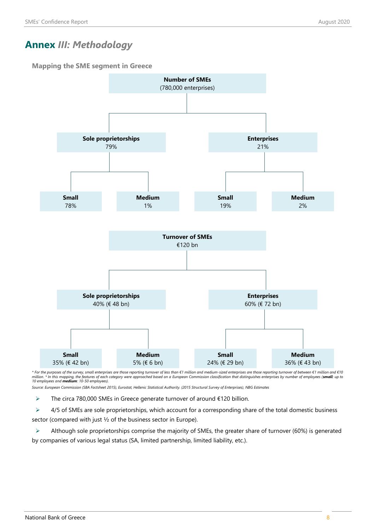# **Annex** *ΙΙΙ: Methodology*

**Mapping the SME segment in Greece**



\* For the purposes of the survey, small enterprises are those reporting turnover of less than €1 million and medium-sized enterprises are those reporting turnover of between €1 million and €10<br>million. \* In this mapping,

*Source: European Commission (SBA Factsheet 2015), Eurostat, Hellenic Statistical Authority. (2015 Structural Survey of Enterprises), NBG Estimates*

 $\triangleright$  The circa 780,000 SMEs in Greece generate turnover of around  $\epsilon$ 120 billion.

 $\triangleright$  4/5 of SMEs are sole proprietorships, which account for a corresponding share of the total domestic business sector (compared with just ½ of the business sector in Europe).

 $\triangleright$  Although sole proprietorships comprise the majority of SMEs, the greater share of turnover (60%) is generated by companies of various legal status (SA, limited partnership, limited liability, etc.).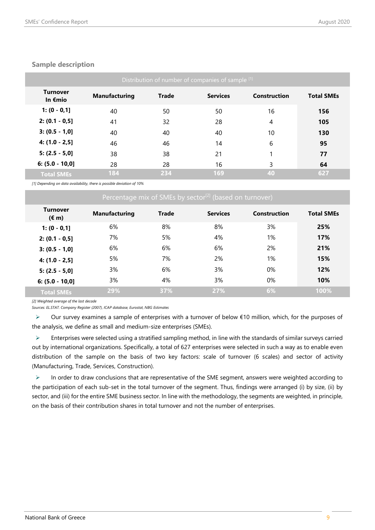| Distribution of number of companies of sample [1] |                      |              |                 |              |                   |  |  |  |
|---------------------------------------------------|----------------------|--------------|-----------------|--------------|-------------------|--|--|--|
| <b>Turnover</b><br>In $E$ mio                     | <b>Manufacturing</b> | <b>Trade</b> | <b>Services</b> | Construction | <b>Total SMEs</b> |  |  |  |
| $1: (0 - 0, 1]$                                   | 40                   | 50           | 50              | 16           | 156               |  |  |  |
| $2: (0.1 - 0.5]$                                  | 41                   | 32           | 28              | 4            | 105               |  |  |  |
| $3: (0.5 - 1, 0]$                                 | 40                   | 40           | 40              | 10           | 130               |  |  |  |
| $4: (1.0 - 2.5)$                                  | 46                   | 46           | 14              | 6            | 95                |  |  |  |
| $5: (2.5 - 5, 0]$                                 | 38                   | 38           | 21              |              | 77                |  |  |  |
| $6: (5.0 - 10.0]$                                 | 28                   | 28           | 16              | 3            | 64                |  |  |  |
| <b>Total SMEs</b>                                 | 184                  | 234          | 169             | 40           | 627               |  |  |  |

### **Sample description**

*[1] Depending on data availability, there is possible deviation of 10%*

| Percentage mix of SMEs by sector <sup>[2]</sup> (based on turnover) |                      |              |                 |              |                   |  |  |  |
|---------------------------------------------------------------------|----------------------|--------------|-----------------|--------------|-------------------|--|--|--|
| <b>Turnover</b><br>$(\epsilon m)$                                   | <b>Manufacturing</b> | <b>Trade</b> | <b>Services</b> | Construction | <b>Total SMEs</b> |  |  |  |
| $1: (0 - 0, 1]$                                                     | 6%                   | 8%           | 8%              | 3%           | 25%               |  |  |  |
| $2: (0.1 - 0.5]$                                                    | 7%                   | 5%           | 4%              | 1%           | 17%               |  |  |  |
| $3: (0.5 - 1, 0]$                                                   | 6%                   | 6%           | 6%              | 2%           | 21%               |  |  |  |
| $4: (1.0 - 2.5]$                                                    | 5%                   | 7%           | 2%              | 1%           | 15%               |  |  |  |
| $5: (2.5 - 5,0]$                                                    | 3%                   | 6%           | 3%              | 0%           | 12%               |  |  |  |
| $6: (5.0 - 10.0]$                                                   | 3%                   | 4%           | 3%              | $0\%$        | 10%               |  |  |  |
| <b>Total SMEs</b>                                                   | 29%                  | 37%          | 27%             | 6%           | 100%              |  |  |  |

*[2] Weighted average of the last decade*

*Sources: EL.STAT. Company Register (2007), ICAP database, Eurostat, NBG Estimates*

 Our survey examines a sample of enterprises with a turnover of below €10 million, which, for the purposes of the analysis, we define as small and medium-size enterprises (SMEs).

 $\triangleright$  Enterprises were selected using a stratified sampling method, in line with the standards of similar surveys carried out by international organizations. Specifically, a total of 627 enterprises were selected in such a way as to enable even distribution of the sample on the basis of two key factors: scale of turnover (6 scales) and sector of activity (Manufacturing, Trade, Services, Construction).

 $\triangleright$  In order to draw conclusions that are representative of the SME segment, answers were weighted according to the participation of each sub-set in the total turnover of the segment. Thus, findings were arranged (i) by size, (ii) by sector, and (iii) for the entire SME business sector. In line with the methodology, the segments are weighted, in principle, on the basis of their contribution shares in total turnover and not the number of enterprises.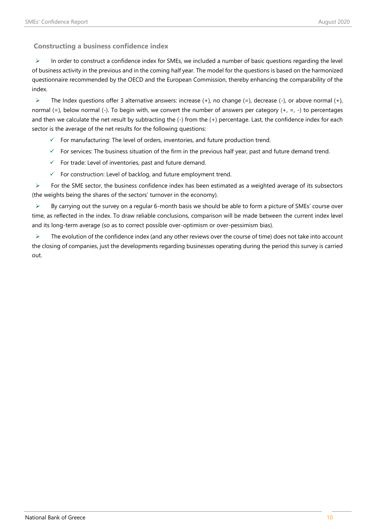**Constructing a business confidence index**

 $\triangleright$  In order to construct a confidence index for SMEs, we included a number of basic questions regarding the level of business activity in the previous and in the coming half year. The model for the questions is based on the harmonized questionnaire recommended by the OECD and the European Commission, thereby enhancing the comparability of the index.

 $\triangleright$  The Index questions offer 3 alternative answers: increase (+), no change (=), decrease (-), or above normal (+), normal (=), below normal (-). To begin with, we convert the number of answers per category (+, =, -) to percentages and then we calculate the net result by subtracting the (-) from the (+) percentage. Last, the confidence index for each sector is the average of the net results for the following questions:

- $\checkmark$  For manufacturing: The level of orders, inventories, and future production trend.
- $\checkmark$  For services: The business situation of the firm in the previous half year, past and future demand trend.
- $\checkmark$  For trade: Level of inventories, past and future demand.
- $\checkmark$  For construction: Level of backlog, and future employment trend.

 $\triangleright$  For the SME sector, the business confidence index has been estimated as a weighted average of its subsectors (the weights being the shares of the sectors' turnover in the economy).

 $\triangleright$  By carrying out the survey on a regular 6-month basis we should be able to form a picture of SMEs' course over time, as reflected in the index. To draw reliable conclusions, comparison will be made between the current index level and its long-term average (so as to correct possible over-optimism or over-pessimism bias).

 $\triangleright$  The evolution of the confidence index (and any other reviews over the course of time) does not take into account the closing of companies, just the developments regarding businesses operating during the period this survey is carried out.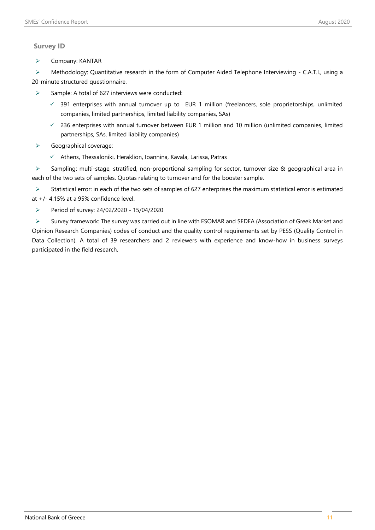# **Survey ID**

 $\triangleright$  Company: KANTAR

▶ Methodology: Quantitative research in the form of Computer Aided Telephone Interviewing - C.A.T.I., using a 20-minute structured questionnaire.

- $\triangleright$  Sample: A total of 627 interviews were conducted:
	- $\checkmark$  391 enterprises with annual turnover up to EUR 1 million (freelancers, sole proprietorships, unlimited companies, limited partnerships, limited liability companies, SAs)
	- $\checkmark$  236 enterprises with annual turnover between EUR 1 million and 10 million (unlimited companies, limited partnerships, SAs, limited liability companies)
- $\triangleright$  Geographical coverage:
	- $\checkmark$  Athens, Thessaloniki, Heraklion, Ioannina, Kavala, Larissa, Patras

 Sampling: multi-stage, stratified, non-proportional sampling for sector, turnover size & geographical area in each of the two sets of samples. Quotas relating to turnover and for the booster sample.

 Statistical error: in each of the two sets of samples of 627 enterprises the maximum statistical error is estimated at +/- 4.15% at a 95% confidence level.

Period of survey: 24/02/2020 - 15/04/2020

 Survey framework: The survey was carried out in line with ESOMAR and SEDEA (Association of Greek Market and Opinion Research Companies) codes of conduct and the quality control requirements set by PESS (Quality Control in Data Collection). A total of 39 researchers and 2 reviewers with experience and know-how in business surveys participated in the field research.